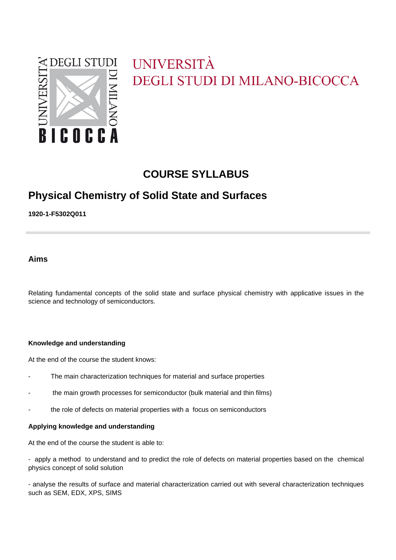

# UNIVERSITÀ **DEGLI STUDI DI MILANO-BICOCCA**

# **COURSE SYLLABUS**

# **Physical Chemistry of Solid State and Surfaces**

**1920-1-F5302Q011**

**Aims**

Relating fundamental concepts of the solid state and surface physical chemistry with applicative issues in the science and technology of semiconductors.

#### **Knowledge and understanding**

At the end of the course the student knows:

- The main characterization techniques for material and surface properties
- the main growth processes for semiconductor (bulk material and thin films)
- the role of defects on material properties with a focus on semiconductors

#### **Applying knowledge and understanding**

At the end of the course the student is able to:

- apply a method to understand and to predict the role of defects on material properties based on the chemical physics concept of solid solution

- analyse the results of surface and material characterization carried out with several characterization techniques such as SEM, EDX, XPS, SIMS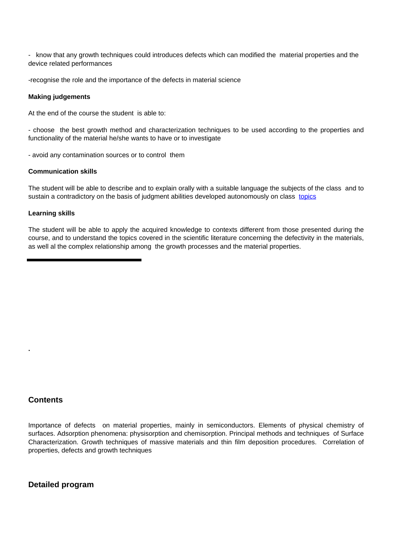- know that any growth techniques could introduces defects which can modified the material properties and the device related performances

-recognise the role and the importance of the defects in material science

#### **Making judgements**

At the end of the course the student is able to:

- choose the best growth method and characterization techniques to be used according to the properties and functionality of the material he/she wants to have or to investigate

- avoid any contamination sources or to control them

#### **Communication skills**

The student will be able to describe and to explain orally with a suitable language the subjects of the class and to sustain a contradictory on the basis of judgment abilities developed autonomously on class topics

#### **Learning skills**

The student will be able to apply the acquired knowledge to contexts different from those presented during the course, and to understand the topics covered in the scientific literature concerning the defectivity in the materials, as well al the complex relationship among the growth processes and the material properties.

### **Contents**

**.**

Importance of defects on material properties, mainly in semiconductors. Elements of physical chemistry of surfaces. Adsorption phenomena: physisorption and chemisorption. Principal methods and techniques of Surface Characterization. Growth techniques of massive materials and thin film deposition procedures. Correlation of properties, defects and growth techniques

### **Detailed program**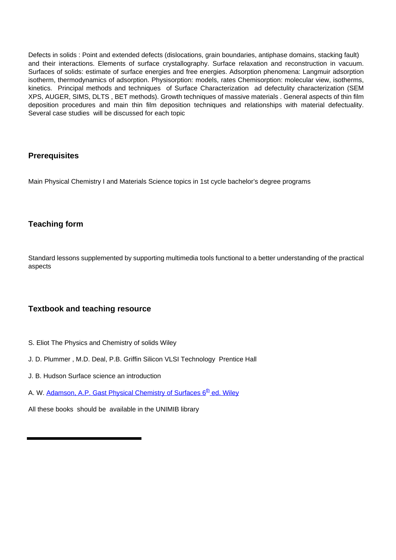Defects in solids : Point and extended defects (dislocations, grain boundaries, antiphase domains, stacking fault) and their interactions. Elements of surface crystallography. Surface relaxation and reconstruction in vacuum. Surfaces of solids: estimate of surface energies and free energies. Adsorption phenomena: Langmuir adsorption isotherm, thermodynamics of adsorption. Physisorption: models, rates Chemisorption: molecular view, isotherms, kinetics. Principal methods and techniques of Surface Characterization ad defectulity characterization (SEM XPS, AUGER, SIMS, DLTS , BET methods). Growth techniques of massive materials . General aspects of thin film deposition procedures and main thin film deposition techniques and relationships with material defectuality. Several case studies will be discussed for each topic

# **Prerequisites**

Main Physical Chemistry I and Materials Science topics in 1st cycle bachelor's degree programs

# **Teaching form**

Standard lessons supplemented by supporting multimedia tools functional to a better understanding of the practical aspects

### **Textbook and teaching resource**

- S. Eliot The Physics and Chemistry of solids Wiley
- J. D. Plummer , M.D. Deal, P.B. Griffin Silicon VLSI Technology Prentice Hall
- J. B. Hudson Surface science an introduction
- A. W. Adamson, A.P. Gast Physical Chemistry of Surfaces 6<sup>th</sup> ed. Wiley

All these books should be available in the UNIMIB library